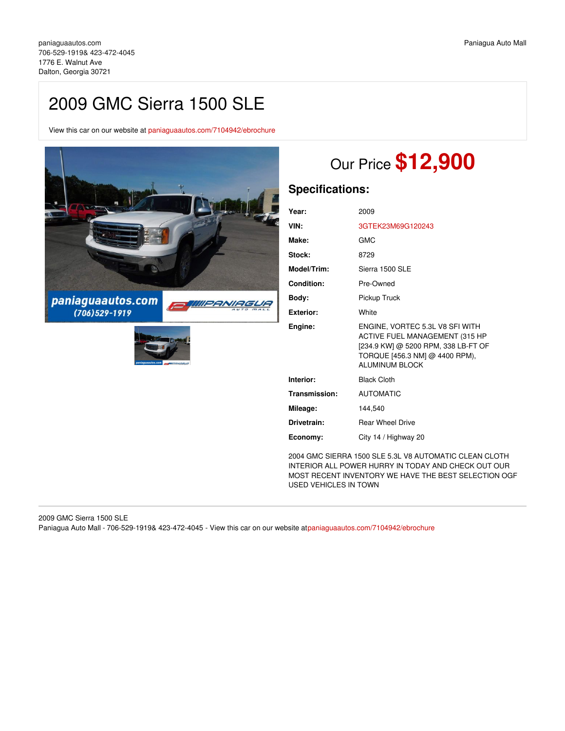# 2009 GMC Sierra 1500 SLE

View this car on our website at [paniaguaautos.com/7104942/ebrochure](https://paniaguaautos.com/vehicle/7104942/2009-gmc-sierra-1500-sle-dalton-georgia-30721/7104942/ebrochure)



# Our Price **\$12,900**

# **Specifications:**

| Year:         | 2009                                                                                                                                                         |
|---------------|--------------------------------------------------------------------------------------------------------------------------------------------------------------|
| VIN:          | 3GTEK23M69G120243                                                                                                                                            |
| Make:         | GMC                                                                                                                                                          |
| Stock:        | 8729                                                                                                                                                         |
| Model/Trim:   | Sierra 1500 SLE                                                                                                                                              |
| Condition:    | Pre-Owned                                                                                                                                                    |
| Body:         | Pickup Truck                                                                                                                                                 |
| Exterior:     | White                                                                                                                                                        |
|               |                                                                                                                                                              |
| Engine:       | ENGINE, VORTEC 5.3L V8 SFI WITH<br>ACTIVE FUEL MANAGEMENT (315 HP<br>[234.9 KW] @ 5200 RPM, 338 LB-FT OF<br>TORQUE [456.3 NM] @ 4400 RPM),<br>ALUMINUM BLOCK |
| Interior:     | <b>Black Cloth</b>                                                                                                                                           |
| Transmission: | <b>AUTOMATIC</b>                                                                                                                                             |
| Mileage:      | 144,540                                                                                                                                                      |
| Drivetrain:   | <b>Rear Wheel Drive</b>                                                                                                                                      |

2004 GMC SIERRA 1500 SLE 5.3L V8 AUTOMATIC CLEAN CLOTH INTERIOR ALL POWER HURRY IN TODAY AND CHECK OUT OUR MOST RECENT INVENTORY WE HAVE THE BEST SELECTION OGF USED VEHICLES IN TOWN

2009 GMC Sierra 1500 SLE Paniagua Auto Mall - 706-529-1919& 423-472-4045 - View this car on our website a[tpaniaguaautos.com/7104942/ebrochure](https://paniaguaautos.com/vehicle/7104942/2009-gmc-sierra-1500-sle-dalton-georgia-30721/7104942/ebrochure)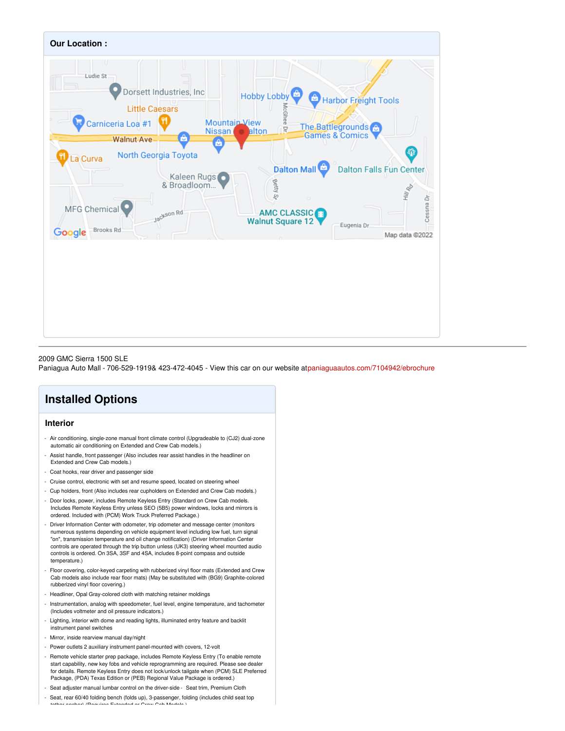

### 2009 GMC Sierra 1500 SLE

Paniagua Auto Mall - 706-529-1919& 423-472-4045 - View this car on our website a[tpaniaguaautos.com/7104942/ebrochure](https://paniaguaautos.com/vehicle/7104942/2009-gmc-sierra-1500-sle-dalton-georgia-30721/7104942/ebrochure)

# **Installed Options**

## **Interior**

- Air conditioning, single-zone manual front climate control (Upgradeable to (CJ2) dual-zone automatic air conditioning on Extended and Crew Cab models.)
- Assist handle, front passenger (Also includes rear assist handles in the headliner on Extended and Crew Cab models.)
- Coat hooks, rear driver and passenger side
- Cruise control, electronic with set and resume speed, located on steering wheel
- Cup holders, front (Also includes rear cupholders on Extended and Crew Cab models.)
- Door locks, power, includes Remote Keyless Entry (Standard on Crew Cab models. Includes Remote Keyless Entry unless SEO (5B5) power windows, locks and mirrors is ordered. Included with (PCM) Work Truck Preferred Package.)
- Driver Information Center with odometer, trip odometer and message center (monitors numerous systems depending on vehicle equipment level including low fuel, turn signal "on", transmission temperature and oil change notification) (Driver Information Center controls are operated through the trip button unless (UK3) steering wheel mounted audio controls is ordered. On 3SA, 3SF and 4SA, includes 8-point compass and outside temperature.)
- Floor covering, color-keyed carpeting with rubberized vinyl floor mats (Extended and Crew Cab models also include rear floor mats) (May be substituted with (BG9) Graphite-colored rubberized vinyl floor covering.)
- Headliner, Opal Gray-colored cloth with matching retainer moldings
- Instrumentation, analog with speedometer, fuel level, engine temperature, and tachometer (Includes voltmeter and oil pressure indicators.)
- Lighting, interior with dome and reading lights, illuminated entry feature and backlit instrument panel switches
- Mirror, inside rearview manual day/night
- Power outlets 2 auxiliary instrument panel-mounted with covers, 12-volt
- Remote vehicle starter prep package, includes Remote Keyless Entry (To enable remote start capability, new key fobs and vehicle reprogramming are required. Please see dealer for details. Remote Keyless Entry does not lock/unlock tailgate when (PCM) SLE Preferred Package, (PDA) Texas Edition or (PEB) Regional Value Package is ordered.)
- Seat adjuster manual lumbar control on the driver-side Seat trim, Premium Cloth
- Seat, rear 60/40 folding bench (folds up), 3-passenger, folding (includes child seat top<br>tables socked (Demines Extended as Oran Ock Medals) tether anchor) (Requires Extended or Crew Cab Models) (Requires Extended or Crew Cab Models.)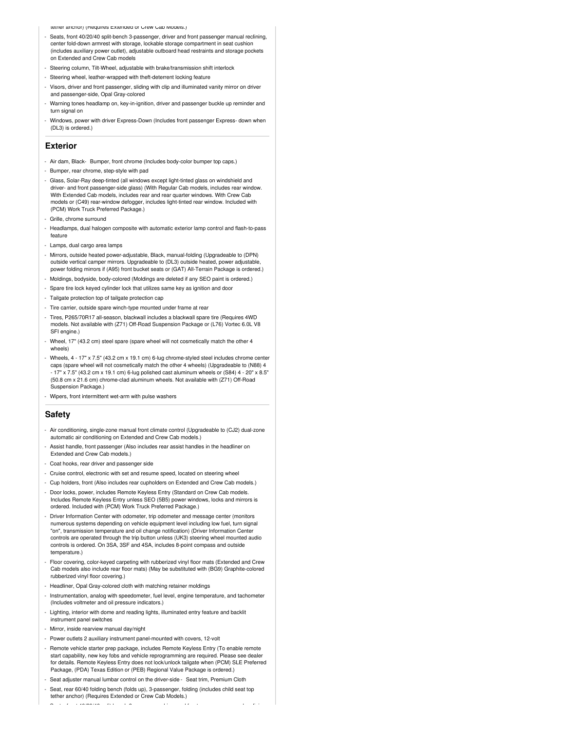tether anchor) (Requires Extended or Crew Cab Models.)

- Seats, front 40/20/40 split-bench 3-passenger, driver and front passenger manual reclining, center fold-down armrest with storage, lockable storage compartment in seat cushion (includes auxiliary power outlet), adjustable outboard head restraints and storage pockets on Extended and Crew Cab model
- Steering column, Tilt-Wheel, adjustable with brake/transmission shift interlock
- Steering wheel, leather-wrapped with theft-deterrent locking feature
- Visors, driver and front passenger, sliding with clip and illuminated vanity mirror on driver and passenger-side, Opal Gray-colored
- Warning tones headlamp on, key-in-ignition, driver and passenger buckle up reminder and turn signal on
- Windows, power with driver Express-Down (Includes front passenger Express- down when (DL3) is ordered.)

## **Exterior**

- Air dam, Black- Bumper, front chrome (Includes body-color bumper top caps.)
- Bumper, rear chrome, step-style with pad
- Glass, Solar-Ray deep-tinted (all windows except light-tinted glass on windshield and driver- and front passenger-side glass) (With Regular Cab models, includes rear window. With Extended Cab models, includes rear and rear quarter windows. With Crew Cab models or (C49) rear-window defogger, includes light-tinted rear window. Included with (PCM) Work Truck Preferred Package.)
- Grille, chrome surround
- Headlamps, dual halogen composite with automatic exterior lamp control and flash-to-pass feature
- Lamps, dual cargo area lamps
- Mirrors, outside heated power-adjustable, Black, manual-folding (Upgradeable to (DPN) outside vertical camper mirrors. Upgradeable to (DL3) outside heated, power adjustable, power folding mirrors if (A95) front bucket seats or (GAT) All-Terrain Package is ordered.)
- Moldings, bodyside, body-colored (Moldings are deleted if any SEO paint is ordered.)
- Spare tire lock keyed cylinder lock that utilizes same key as ignition and door
- Tailgate protection top of tailgate protection cap
- Tire carrier, outside spare winch-type mounted under frame at rear
- Tires, P265/70R17 all-season, blackwall includes a blackwall spare tire (Requires 4WD models. Not available with (Z71) Off-Road Suspension Package or (L76) Vortec 6.0L V8 SFI engine.)
- Wheel, 17" (43.2 cm) steel spare (spare wheel will not cosmetically match the other 4 wheels)
- Wheels, 4 17" x 7.5" (43.2 cm x 19.1 cm) 6-lug chrome-styled steel includes chrome center caps (spare wheel will not cosmetically match the other 4 wheels) (Upgradeable to (N88) 4 - 17" x 7.5" (43.2 cm x 19.1 cm) 6-lug polished cast aluminum wheels or (S84) 4 - 20" x 8.5" (50.8 cm x 21.6 cm) chrome-clad aluminum wheels. Not available with (Z71) Off-Road Suspension Package.)
- Wipers, front intermittent wet-arm with pulse washers

### **Safety**

- Air conditioning, single-zone manual front climate control (Upgradeable to (CJ2) dual-zone automatic air conditioning on Extended and Crew Cab models.)
- Assist handle, front passenger (Also includes rear assist handles in the headliner on Extended and Crew Cab models.)
- Coat hooks, rear driver and passenger side
- Cruise control, electronic with set and resume speed, located on steering wheel
- Cup holders, front (Also includes rear cupholders on Extended and Crew Cab models.)
- Door locks, power, includes Remote Keyless Entry (Standard on Crew Cab models. Includes Remote Keyless Entry unless SEO (5B5) power windows, locks and mirrors is ordered. Included with (PCM) Work Truck Preferred Package.)
- Driver Information Center with odometer, trip odometer and message center (monitors numerous systems depending on vehicle equipment level including low fuel, turn signal "on", transmission temperature and oil change notification) (Driver Information Center controls are operated through the trip button unless (UK3) steering wheel mounted audio controls is ordered. On 3SA, 3SF and 4SA, includes 8-point compass and outside temperature.)
- Floor covering, color-keyed carpeting with rubberized vinyl floor mats (Extended and Crew Cab models also include rear floor mats) (May be substituted with (BG9) Graphite-colored rubberized vinyl floor covering.)
- Headliner, Opal Gray-colored cloth with matching retainer moldings
- Instrumentation, analog with speedometer, fuel level, engine temperature, and tachometer (Includes voltmeter and oil pressure indicators.)
- Lighting, interior with dome and reading lights, illuminated entry feature and backlit instrument panel switches
- Mirror, inside rearview manual day/night
- Power outlets 2 auxiliary instrument panel-mounted with covers, 12-volt
- Remote vehicle starter prep package, includes Remote Keyless Entry (To enable remote start capability, new key fobs and vehicle reprogramming are required. Please see dealer for details. Remote Keyless Entry does not lock/unlock tailgate when (PCM) SLE Preferred Package, (PDA) Texas Edition or (PEB) Regional Value Package is ordered.)

- Seats, front 40/20/40 split-bench 3-passenger, driver and front passenger manual reclining,

- Seat adjuster manual lumbar control on the driver-side Seat trim, Premium Cloth
- Seat, rear 60/40 folding bench (folds up), 3-passenger, folding (includes child seat top tether anchor) (Requires Extended or Crew Cab Models.)